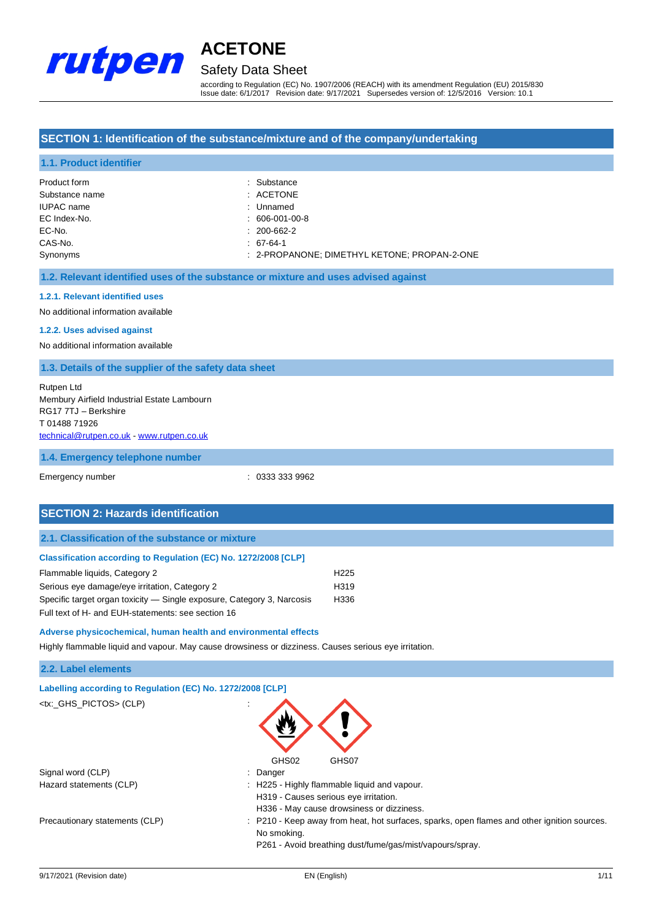

# Safety Data Sheet

according to Regulation (EC) No. 1907/2006 (REACH) with its amendment Regulation (EU) 2015/830 Issue date: 6/1/2017 Revision date: 9/17/2021 Supersedes version of: 12/5/2016 Version: 10.1

#### **SECTION 1: Identification of the substance/mixture and of the company/undertaking**

#### **1.1. Product identifier**

| Product form      | : Substance                                  |
|-------------------|----------------------------------------------|
| Substance name    | $:$ ACETONE                                  |
| <b>IUPAC</b> name | : Unnamed                                    |
| EC Index-No.      | $: 606-001-00-8$                             |
| EC-No.            | $: 200 - 662 - 2$                            |
| CAS-No.           | $: 67-64-1$                                  |
| Synonyms          | : 2-PROPANONE; DIMETHYL KETONE; PROPAN-2-ONE |

#### **1.2. Relevant identified uses of the substance or mixture and uses advised against**

#### **1.2.1. Relevant identified uses**

No additional information available

#### **1.2.2. Uses advised against**

No additional information available

#### **1.3. Details of the supplier of the safety data sheet**

Rutpen Ltd Membury Airfield Industrial Estate Lambourn RG17 7TJ – Berkshire T 01488 71926 [technical@rutpen.co.uk](mailto:technical@rutpen.co.uk) - [www.rutpen.co.uk](http://www.rutpen.co.uk/)

#### **1.4. Emergency telephone number**

Emergency number : 0333 333 9962

#### **SECTION 2: Hazards identification**

#### **2.1. Classification of the substance or mixture**

| Classification according to Regulation (EC) No. 1272/2008 [CLP]        |                  |
|------------------------------------------------------------------------|------------------|
| Flammable liquids, Category 2                                          | H <sub>225</sub> |
| Serious eye damage/eye irritation, Category 2                          | H <sub>319</sub> |
| Specific target organ toxicity — Single exposure, Category 3, Narcosis | H336             |

Full text of H- and EUH-statements: see section 16

### **Adverse physicochemical, human health and environmental effects**

Highly flammable liquid and vapour. May cause drowsiness or dizziness. Causes serious eye irritation.

#### **2.2. Label elements**

| 2.2. Label elements                                        |                                                                                                                                                                        |
|------------------------------------------------------------|------------------------------------------------------------------------------------------------------------------------------------------------------------------------|
| Labelling according to Regulation (EC) No. 1272/2008 [CLP] |                                                                                                                                                                        |
| <tx:_ghs_pictos> (CLP)</tx:_ghs_pictos>                    |                                                                                                                                                                        |
| Signal word (CLP)                                          | GHS02<br>GHS07<br>: Danger                                                                                                                                             |
| Hazard statements (CLP)                                    | : H225 - Highly flammable liquid and vapour.<br>H319 - Causes serious eye irritation.                                                                                  |
|                                                            | H336 - May cause drowsiness or dizziness.                                                                                                                              |
| Precautionary statements (CLP)                             | : P210 - Keep away from heat, hot surfaces, sparks, open flames and other ignition sources.<br>No smoking.<br>P261 - Avoid breathing dust/fume/gas/mist/vapours/spray. |
|                                                            |                                                                                                                                                                        |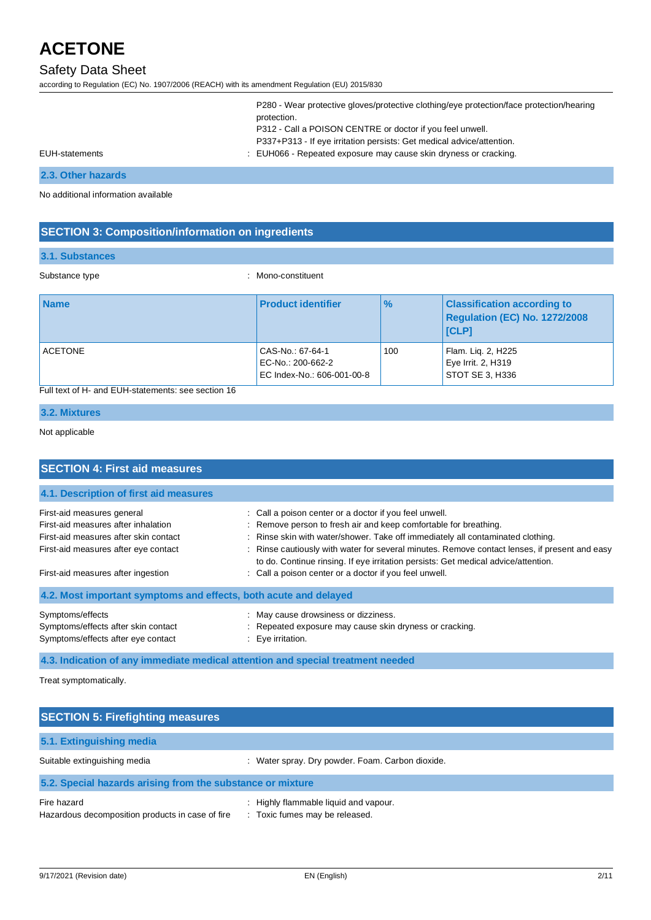# Safety Data Sheet

according to Regulation (EC) No. 1907/2006 (REACH) with its amendment Regulation (EU) 2015/830

|                | P280 - Wear protective gloves/protective clothing/eye protection/face protection/hearing |
|----------------|------------------------------------------------------------------------------------------|
|                | protection.                                                                              |
|                | P312 - Call a POISON CENTRE or doctor if you feel unwell.                                |
|                | P337+P313 - If eye irritation persists: Get medical advice/attention.                    |
| EUH-statements | : EUH066 - Repeated exposure may cause skin dryness or cracking.                         |
|                |                                                                                          |

#### **2.3. Other hazards**

No additional information available

### **SECTION 3: Composition/information on ingredients**

#### **3.1. Substances**

Substance type  $\qquad \qquad$ : Mono-constituent

| <b>Name</b>    | <b>Product identifier</b>                                           | $\frac{9}{6}$ | <b>Classification according to</b><br>Regulation (EC) No. 1272/2008<br><b>ICLPI</b> |
|----------------|---------------------------------------------------------------------|---------------|-------------------------------------------------------------------------------------|
| <b>ACETONE</b> | CAS-No.: 67-64-1<br>EC-No.: 200-662-2<br>EC Index-No.: 606-001-00-8 | 100           | Flam. Lig. 2, H225<br>Eye Irrit. 2, H319<br>STOT SE 3, H336                         |

### Full text of H- and EUH-statements: see section 16

### **3.2. Mixtures**

#### Not applicable

| <b>SECTION 4: First aid measures</b>                                                          |                                                                                                                                                                                     |  |  |
|-----------------------------------------------------------------------------------------------|-------------------------------------------------------------------------------------------------------------------------------------------------------------------------------------|--|--|
| 4.1. Description of first aid measures                                                        |                                                                                                                                                                                     |  |  |
| First-aid measures general                                                                    | : Call a poison center or a doctor if you feel unwell.                                                                                                                              |  |  |
| First-aid measures after inhalation                                                           | : Remove person to fresh air and keep comfortable for breathing.                                                                                                                    |  |  |
| First-aid measures after skin contact                                                         | : Rinse skin with water/shower. Take off immediately all contaminated clothing.                                                                                                     |  |  |
| First-aid measures after eye contact                                                          | : Rinse cautiously with water for several minutes. Remove contact lenses, if present and easy<br>to do. Continue rinsing. If eye irritation persists: Get medical advice/attention. |  |  |
| First-aid measures after ingestion                                                            | : Call a poison center or a doctor if you feel unwell.                                                                                                                              |  |  |
| 4.2. Most important symptoms and effects, both acute and delayed                              |                                                                                                                                                                                     |  |  |
| Symptoms/effects<br>Symptoms/effects after skin contact<br>Symptoms/effects after eye contact | : May cause drowsiness or dizziness.<br>: Repeated exposure may cause skin dryness or cracking.<br>$\therefore$ Eye irritation.                                                     |  |  |

**4.3. Indication of any immediate medical attention and special treatment needed**

Treat symptomatically.

| <b>SECTION 5: Firefighting measures</b>                         |                                                                         |  |
|-----------------------------------------------------------------|-------------------------------------------------------------------------|--|
| 5.1. Extinguishing media                                        |                                                                         |  |
| Suitable extinguishing media                                    | : Water spray. Dry powder. Foam. Carbon dioxide.                        |  |
| 5.2. Special hazards arising from the substance or mixture      |                                                                         |  |
| Fire hazard<br>Hazardous decomposition products in case of fire | : Highly flammable liquid and vapour.<br>: Toxic fumes may be released. |  |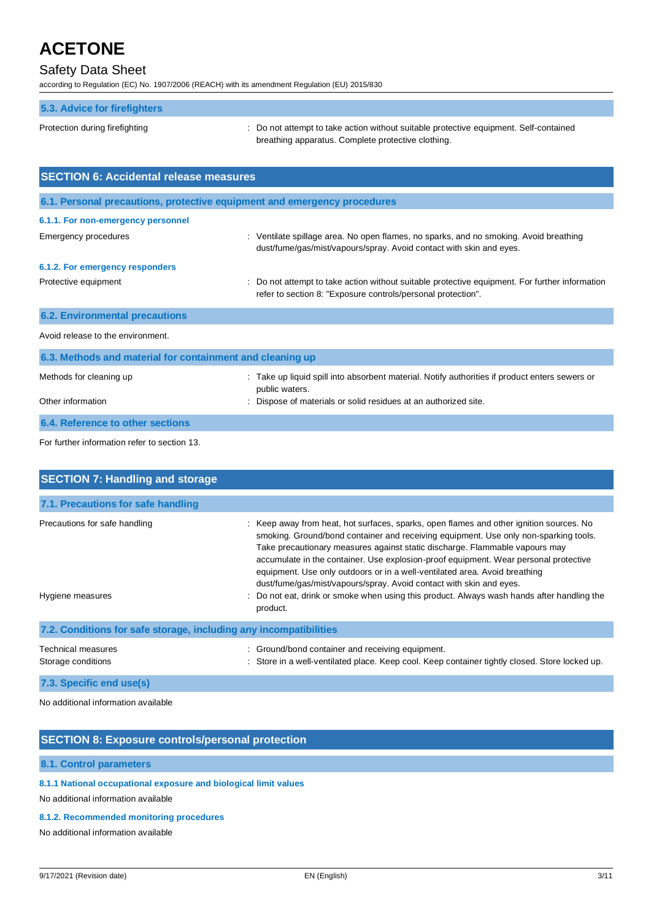# Safety Data Sheet

according to Regulation (EC) No. 1907/2006 (REACH) with its amendment Regulation (EU) 2015/830

| 5.3. Advice for firefighters                                             |                                                                                                                                                                |
|--------------------------------------------------------------------------|----------------------------------------------------------------------------------------------------------------------------------------------------------------|
| Protection during firefighting                                           | : Do not attempt to take action without suitable protective equipment. Self-contained<br>breathing apparatus. Complete protective clothing.                    |
| <b>SECTION 6: Accidental release measures</b>                            |                                                                                                                                                                |
| 6.1. Personal precautions, protective equipment and emergency procedures |                                                                                                                                                                |
| 6.1.1. For non-emergency personnel                                       |                                                                                                                                                                |
| <b>Emergency procedures</b>                                              | : Ventilate spillage area. No open flames, no sparks, and no smoking. Avoid breathing<br>dust/fume/gas/mist/vapours/spray. Avoid contact with skin and eyes.   |
| 6.1.2. For emergency responders                                          |                                                                                                                                                                |
| Protective equipment                                                     | : Do not attempt to take action without suitable protective equipment. For further information<br>refer to section 8: "Exposure controls/personal protection". |
| <b>6.2. Environmental precautions</b>                                    |                                                                                                                                                                |
| Avoid release to the environment.                                        |                                                                                                                                                                |
| 6.3. Methods and material for containment and cleaning up                |                                                                                                                                                                |
| Methods for cleaning up                                                  | : Take up liquid spill into absorbent material. Notify authorities if product enters sewers or<br>public waters.                                               |
| Other information                                                        | Dispose of materials or solid residues at an authorized site.                                                                                                  |
| 6.4. Reference to other sections                                         |                                                                                                                                                                |

For further information refer to section 13.

| <b>SECTION 7: Handling and storage</b>                            |                                                                                                                                                                                                                                                                                                                                                                                                                                                                                                                                                                                                                     |  |  |
|-------------------------------------------------------------------|---------------------------------------------------------------------------------------------------------------------------------------------------------------------------------------------------------------------------------------------------------------------------------------------------------------------------------------------------------------------------------------------------------------------------------------------------------------------------------------------------------------------------------------------------------------------------------------------------------------------|--|--|
| 7.1. Precautions for safe handling                                |                                                                                                                                                                                                                                                                                                                                                                                                                                                                                                                                                                                                                     |  |  |
| Precautions for safe handling<br>Hygiene measures                 | : Keep away from heat, hot surfaces, sparks, open flames and other ignition sources. No<br>smoking. Ground/bond container and receiving equipment. Use only non-sparking tools.<br>Take precautionary measures against static discharge. Flammable vapours may<br>accumulate in the container. Use explosion-proof equipment. Wear personal protective<br>equipment. Use only outdoors or in a well-ventilated area. Avoid breathing<br>dust/fume/gas/mist/vapours/spray. Avoid contact with skin and eyes.<br>Do not eat, drink or smoke when using this product. Always wash hands after handling the<br>product. |  |  |
| 7.2. Conditions for safe storage, including any incompatibilities |                                                                                                                                                                                                                                                                                                                                                                                                                                                                                                                                                                                                                     |  |  |
| Technical measures<br>Storage conditions                          | Ground/bond container and receiving equipment.<br>Store in a well-ventilated place. Keep cool. Keep container tightly closed. Store locked up.                                                                                                                                                                                                                                                                                                                                                                                                                                                                      |  |  |
| 7.3. Specific end use(s)                                          |                                                                                                                                                                                                                                                                                                                                                                                                                                                                                                                                                                                                                     |  |  |

No additional information available

### **SECTION 8: Exposure controls/personal protection**

#### **8.1. Control parameters**

### **8.1.1 National occupational exposure and biological limit values**

No additional information available

#### **8.1.2. Recommended monitoring procedures**

No additional information available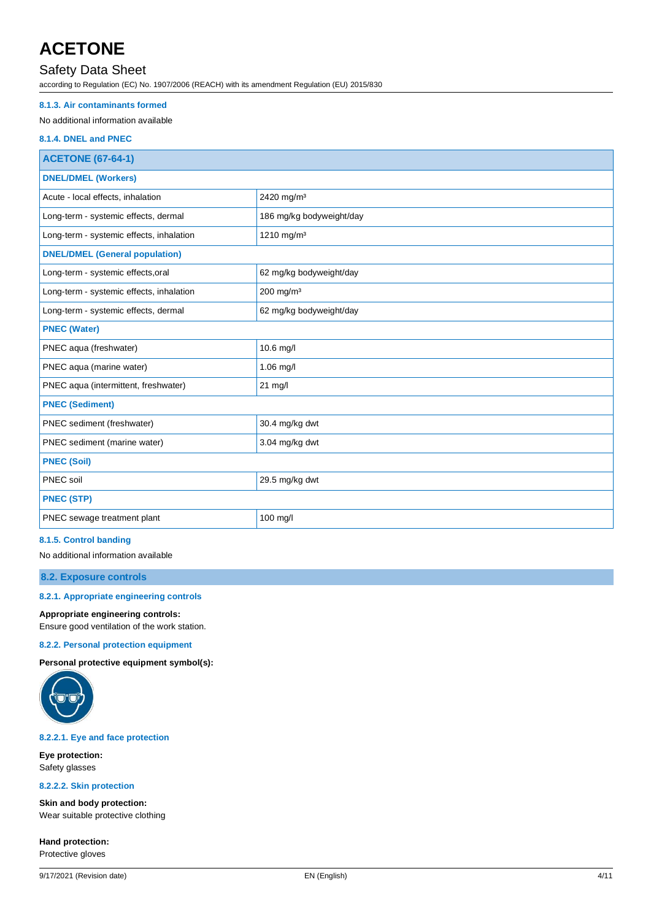## Safety Data Sheet

according to Regulation (EC) No. 1907/2006 (REACH) with its amendment Regulation (EU) 2015/830

#### **8.1.3. Air contaminants formed**

#### No additional information available

#### **8.1.4. DNEL and PNEC**

| <b>ACETONE (67-64-1)</b>                 |                          |  |
|------------------------------------------|--------------------------|--|
| <b>DNEL/DMEL (Workers)</b>               |                          |  |
| Acute - local effects, inhalation        | 2420 mg/m <sup>3</sup>   |  |
| Long-term - systemic effects, dermal     | 186 mg/kg bodyweight/day |  |
| Long-term - systemic effects, inhalation | 1210 mg/m <sup>3</sup>   |  |
| <b>DNEL/DMEL (General population)</b>    |                          |  |
| Long-term - systemic effects, oral       | 62 mg/kg bodyweight/day  |  |
| Long-term - systemic effects, inhalation | 200 mg/m <sup>3</sup>    |  |
| Long-term - systemic effects, dermal     | 62 mg/kg bodyweight/day  |  |
| <b>PNEC (Water)</b>                      |                          |  |
| PNEC aqua (freshwater)                   | 10.6 mg/l                |  |
| PNEC aqua (marine water)                 | 1.06 mg/l                |  |
| PNEC aqua (intermittent, freshwater)     | 21 mg/l                  |  |
| <b>PNEC (Sediment)</b>                   |                          |  |
| PNEC sediment (freshwater)               | 30.4 mg/kg dwt           |  |
| PNEC sediment (marine water)             | 3.04 mg/kg dwt           |  |
| <b>PNEC (Soil)</b>                       |                          |  |
| PNEC soil                                | 29.5 mg/kg dwt           |  |
| <b>PNEC (STP)</b>                        |                          |  |
| PNEC sewage treatment plant              | $100$ mg/l               |  |

#### **8.1.5. Control banding**

No additional information available

#### **8.2. Exposure controls**

#### **8.2.1. Appropriate engineering controls**

**Appropriate engineering controls:**

Ensure good ventilation of the work station.

#### **8.2.2. Personal protection equipment**

**Personal protective equipment symbol(s):**



### **8.2.2.1. Eye and face protection**

**Eye protection:** Safety glasses

#### **8.2.2.2. Skin protection**

**Skin and body protection:** Wear suitable protective clothing

**Hand protection:** Protective gloves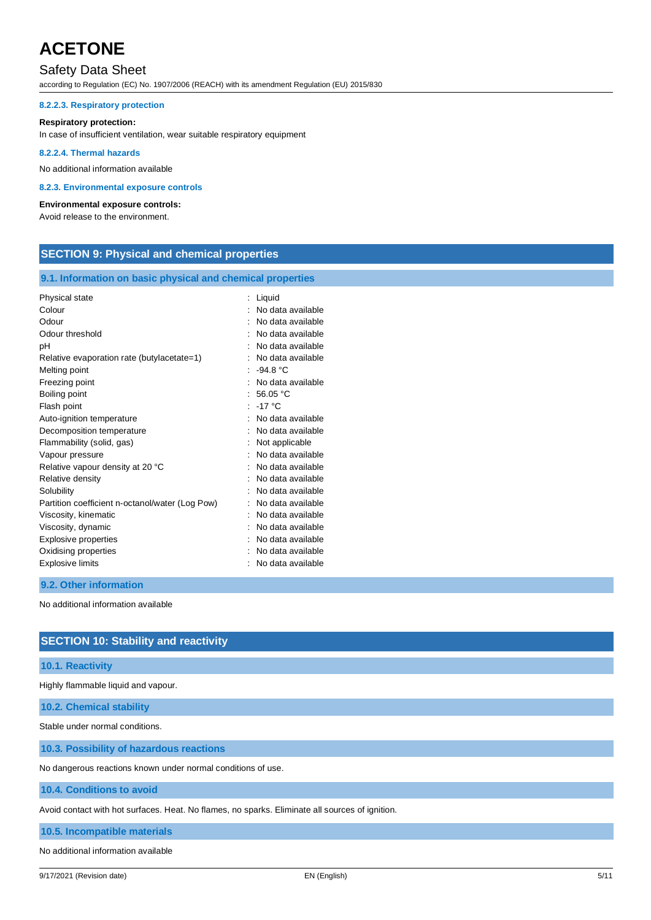### Safety Data Sheet

according to Regulation (EC) No. 1907/2006 (REACH) with its amendment Regulation (EU) 2015/830

#### **8.2.2.3. Respiratory protection**

#### **Respiratory protection:**

In case of insufficient ventilation, wear suitable respiratory equipment

#### **8.2.2.4. Thermal hazards**

No additional information available

#### **8.2.3. Environmental exposure controls**

#### **Environmental exposure controls:**

Avoid release to the environment.

### **SECTION 9: Physical and chemical properties**

#### **9.1. Information on basic physical and chemical properties**

| Physical state                                  | Liquid            |
|-------------------------------------------------|-------------------|
| Colour                                          | No data available |
| Odour                                           | No data available |
| Odour threshold                                 | No data available |
| рH                                              | No data available |
| Relative evaporation rate (butylacetate=1)      | No data available |
| Melting point                                   | $-94.8 °C$        |
| Freezing point                                  | No data available |
| Boiling point                                   | 56.05 °C          |
| Flash point                                     | : $-17^{\circ}$ C |
| Auto-ignition temperature                       | No data available |
| Decomposition temperature                       | No data available |
| Flammability (solid, gas)                       | Not applicable    |
| Vapour pressure                                 | No data available |
| Relative vapour density at 20 °C                | No data available |
| Relative density                                | No data available |
| Solubility                                      | No data available |
| Partition coefficient n-octanol/water (Log Pow) | No data available |
| Viscosity, kinematic                            | No data available |
| Viscosity, dynamic                              | No data available |
| Explosive properties                            | No data available |
| Oxidising properties                            | No data available |
| <b>Explosive limits</b>                         | No data available |
|                                                 |                   |

#### **9.2. Other information**

No additional information available

# **SECTION 10: Stability and reactivity**

#### **10.1. Reactivity**

Highly flammable liquid and vapour.

**10.2. Chemical stability**

Stable under normal conditions.

#### **10.3. Possibility of hazardous reactions**

No dangerous reactions known under normal conditions of use.

#### **10.4. Conditions to avoid**

Avoid contact with hot surfaces. Heat. No flames, no sparks. Eliminate all sources of ignition.

**10.5. Incompatible materials**

No additional information available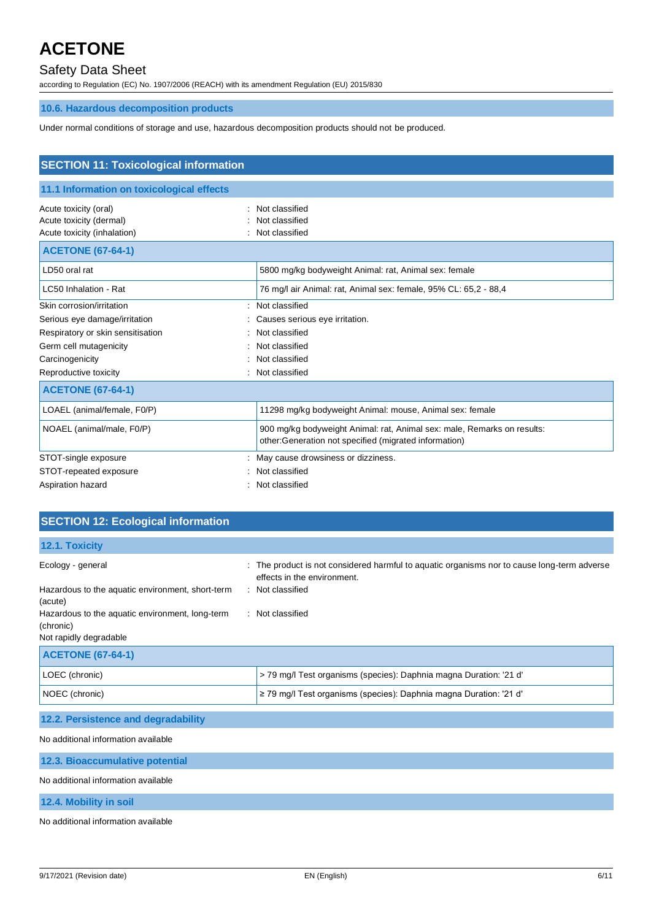# Safety Data Sheet

according to Regulation (EC) No. 1907/2006 (REACH) with its amendment Regulation (EU) 2015/830

### **10.6. Hazardous decomposition products**

Under normal conditions of storage and use, hazardous decomposition products should not be produced.

| <b>SECTION 11: Toxicological information</b>                                                                                                                          |                                                                                                                                  |  |  |
|-----------------------------------------------------------------------------------------------------------------------------------------------------------------------|----------------------------------------------------------------------------------------------------------------------------------|--|--|
| 11.1 Information on toxicological effects                                                                                                                             |                                                                                                                                  |  |  |
| Acute toxicity (oral)<br>Acute toxicity (dermal)<br>Acute toxicity (inhalation)                                                                                       | Not classified<br>٠<br>Not classified<br>Not classified                                                                          |  |  |
| <b>ACETONE (67-64-1)</b>                                                                                                                                              |                                                                                                                                  |  |  |
| LD50 oral rat                                                                                                                                                         | 5800 mg/kg bodyweight Animal: rat, Animal sex: female                                                                            |  |  |
| LC50 Inhalation - Rat                                                                                                                                                 | 76 mg/l air Animal: rat, Animal sex: female, 95% CL: 65,2 - 88,4                                                                 |  |  |
| Skin corrosion/irritation<br>Serious eye damage/irritation<br>Respiratory or skin sensitisation<br>Germ cell mutagenicity<br>Carcinogenicity<br>Reproductive toxicity | Not classified<br>Causes serious eye irritation.<br>Not classified<br>Not classified<br>Not classified<br>Not classified         |  |  |
| <b>ACETONE (67-64-1)</b>                                                                                                                                              |                                                                                                                                  |  |  |
| LOAEL (animal/female, F0/P)                                                                                                                                           | 11298 mg/kg bodyweight Animal: mouse, Animal sex: female                                                                         |  |  |
| NOAEL (animal/male, F0/P)                                                                                                                                             | 900 mg/kg bodyweight Animal: rat, Animal sex: male, Remarks on results:<br>other:Generation not specified (migrated information) |  |  |
| STOT-single exposure                                                                                                                                                  | May cause drowsiness or dizziness.                                                                                               |  |  |
| STOT-repeated exposure                                                                                                                                                | Not classified                                                                                                                   |  |  |
| Aspiration hazard                                                                                                                                                     | Not classified                                                                                                                   |  |  |

| <b>SECTION 12: Ecological information</b>                    |                                                                                                                            |
|--------------------------------------------------------------|----------------------------------------------------------------------------------------------------------------------------|
| 12.1. Toxicity                                               |                                                                                                                            |
| Ecology - general                                            | : The product is not considered harmful to aquatic organisms nor to cause long-term adverse<br>effects in the environment. |
| Hazardous to the aquatic environment, short-term<br>(acute)  | : Not classified                                                                                                           |
| Hazardous to the aquatic environment, long-term<br>(chronic) | : Not classified                                                                                                           |
| Not rapidly degradable                                       |                                                                                                                            |
| <b>ACETONE (67-64-1)</b>                                     |                                                                                                                            |

| LOEC (chronic) | > 79 mg/l Test organisms (species): Daphnia magna Duration: '21 d'     |
|----------------|------------------------------------------------------------------------|
| NOEC (chronic) | $\ge$ 79 mg/l Test organisms (species): Daphnia magna Duration: '21 d' |

### **12.2. Persistence and degradability**

No additional information available

| 12.3. Bioaccumulative potential |  |
|---------------------------------|--|
|---------------------------------|--|

No additional information available

#### **12.4. Mobility in soil**

No additional information available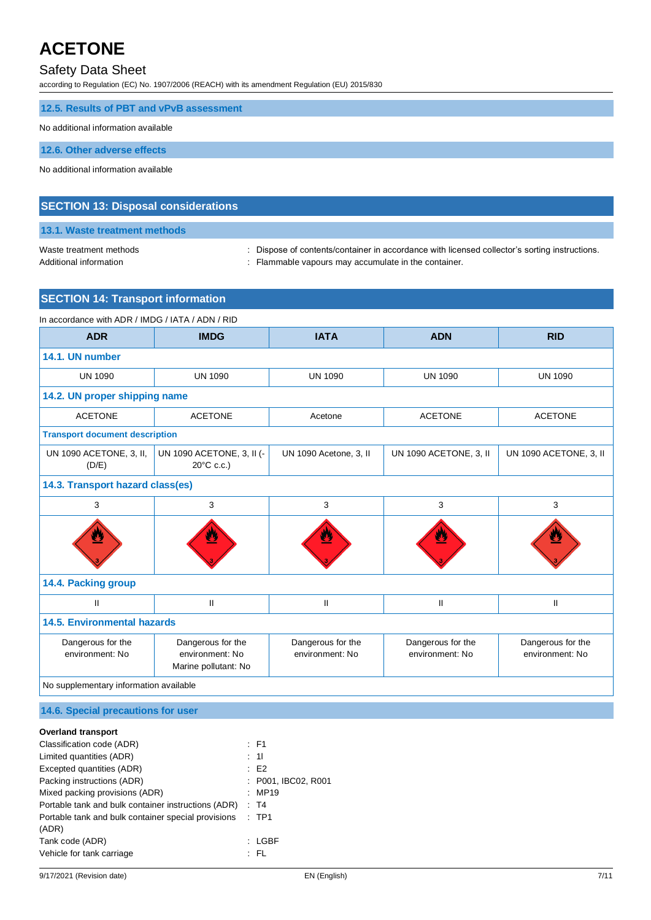### Safety Data Sheet

according to Regulation (EC) No. 1907/2006 (REACH) with its amendment Regulation (EU) 2015/830

#### **12.5. Results of PBT and vPvB assessment**

#### No additional information available

**12.6. Other adverse effects**

No additional information available

#### **SECTION 13: Disposal considerations**

### **13.1. Waste treatment methods**

Waste treatment methods : Dispose of contents/container in accordance with licensed collector's sorting instructions.

Additional information **interest in the container** : Flammable vapours may accumulate in the container.

### **SECTION 14: Transport information**

| In accordance with ADR / IMDG / IATA / ADN / RID |                                                              |                                      |                                      |                                      |
|--------------------------------------------------|--------------------------------------------------------------|--------------------------------------|--------------------------------------|--------------------------------------|
| <b>ADR</b>                                       | <b>IMDG</b>                                                  | <b>IATA</b>                          | <b>ADN</b>                           | <b>RID</b>                           |
| 14.1. UN number                                  |                                                              |                                      |                                      |                                      |
| <b>UN 1090</b>                                   | <b>UN 1090</b>                                               | <b>UN 1090</b>                       | <b>UN 1090</b>                       | <b>UN 1090</b>                       |
| 14.2. UN proper shipping name                    |                                                              |                                      |                                      |                                      |
| <b>ACETONE</b>                                   | <b>ACETONE</b>                                               | Acetone                              | <b>ACETONE</b>                       | <b>ACETONE</b>                       |
| <b>Transport document description</b>            |                                                              |                                      |                                      |                                      |
| UN 1090 ACETONE, 3, II,<br>(D/E)                 | UN 1090 ACETONE, 3, II (-<br>$20^{\circ}$ C c.c.)            | UN 1090 Acetone, 3, II               | UN 1090 ACETONE, 3, II               | UN 1090 ACETONE, 3, II               |
| 14.3. Transport hazard class(es)                 |                                                              |                                      |                                      |                                      |
| 3                                                | 3                                                            | 3                                    | 3                                    | 3                                    |
|                                                  |                                                              |                                      |                                      |                                      |
| 14.4. Packing group                              |                                                              |                                      |                                      |                                      |
| $\mathbf{II}$                                    | $\mathbf{II}$                                                | $\sf II$                             | $\sf II$                             | $\mathsf{I}$                         |
| 14.5. Environmental hazards                      |                                                              |                                      |                                      |                                      |
| Dangerous for the<br>environment: No             | Dangerous for the<br>environment: No<br>Marine pollutant: No | Dangerous for the<br>environment: No | Dangerous for the<br>environment: No | Dangerous for the<br>environment: No |
| No supplementary information available           |                                                              |                                      |                                      |                                      |

#### **14.6. Special precautions for user**

#### **Overland transport**

| Classification code (ADR)                           | $\therefore$ F1     |
|-----------------------------------------------------|---------------------|
| Limited quantities (ADR)                            | : 11                |
| Excepted quantities (ADR)                           | E2                  |
| Packing instructions (ADR)                          | : P001, IBC02, R001 |
| Mixed packing provisions (ADR)                      | : MP19              |
| Portable tank and bulk container instructions (ADR) | : T4                |
| Portable tank and bulk container special provisions | $:$ TP1             |
| (ADR)                                               |                     |
| Tank code (ADR)                                     | : LGBF              |
| Vehicle for tank carriage                           | : FL                |
|                                                     |                     |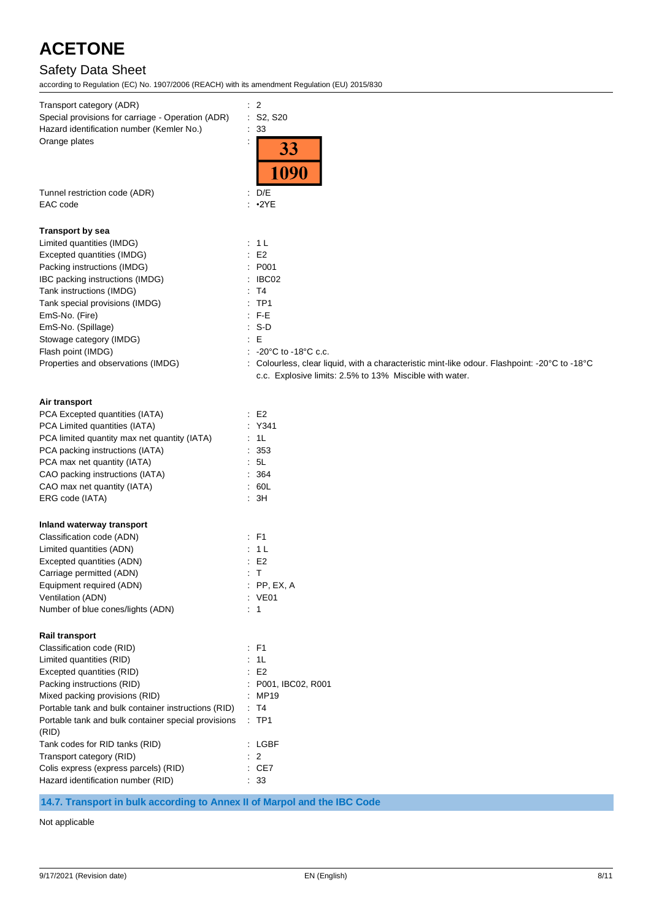# Safety Data Sheet

| Transport category (ADR)                                                    | $\therefore$ 2                                                                                |
|-----------------------------------------------------------------------------|-----------------------------------------------------------------------------------------------|
| Special provisions for carriage - Operation (ADR)                           | : S2, S20                                                                                     |
| Hazard identification number (Kemler No.)                                   | $\therefore$ 33                                                                               |
| Orange plates                                                               | 33                                                                                            |
|                                                                             |                                                                                               |
|                                                                             | 1090                                                                                          |
|                                                                             |                                                                                               |
| Tunnel restriction code (ADR)<br>EAC code                                   | $\therefore$ D/E<br>$: \cdot2YE$                                                              |
|                                                                             |                                                                                               |
| <b>Transport by sea</b>                                                     |                                                                                               |
| Limited quantities (IMDG)                                                   | : 1L                                                                                          |
| Excepted quantities (IMDG)                                                  | E2                                                                                            |
| Packing instructions (IMDG)                                                 | : P001                                                                                        |
| IBC packing instructions (IMDG)                                             | : IBC02                                                                                       |
| Tank instructions (IMDG)                                                    | : T4                                                                                          |
| Tank special provisions (IMDG)                                              | $:$ TP1                                                                                       |
| EmS-No. (Fire)                                                              | $: F-E$                                                                                       |
| EmS-No. (Spillage)                                                          | $: S-D$                                                                                       |
| Stowage category (IMDG)                                                     | E                                                                                             |
| Flash point (IMDG)                                                          | : $-20^{\circ}$ C to $-18^{\circ}$ C c.c.                                                     |
| Properties and observations (IMDG)                                          | : Colourless, clear liquid, with a characteristic mint-like odour. Flashpoint: -20°C to -18°C |
|                                                                             | c.c. Explosive limits: 2.5% to 13% Miscible with water.                                       |
|                                                                             |                                                                                               |
| Air transport                                                               |                                                                                               |
| PCA Excepted quantities (IATA)                                              | $\therefore$ E2                                                                               |
| PCA Limited quantities (IATA)                                               | : Y341                                                                                        |
| PCA limited quantity max net quantity (IATA)                                | : 1L                                                                                          |
| PCA packing instructions (IATA)                                             | : 353                                                                                         |
| PCA max net quantity (IATA)                                                 | : 5L                                                                                          |
| CAO packing instructions (IATA)                                             | : 364                                                                                         |
| CAO max net quantity (IATA)                                                 | : 60L                                                                                         |
| ERG code (IATA)                                                             | : 3H                                                                                          |
| Inland waterway transport                                                   |                                                                                               |
| Classification code (ADN)                                                   | $\therefore$ F1                                                                               |
| Limited quantities (ADN)                                                    | : 1L                                                                                          |
| Excepted quantities (ADN)                                                   | E <sub>2</sub>                                                                                |
| Carriage permitted (ADN)                                                    | : T                                                                                           |
| Equipment required (ADN)                                                    | $:$ PP, EX, A                                                                                 |
| Ventilation (ADN)                                                           | : VE01                                                                                        |
| Number of blue cones/lights (ADN)                                           | : 1                                                                                           |
|                                                                             |                                                                                               |
| <b>Rail transport</b>                                                       |                                                                                               |
| Classification code (RID)                                                   | $\therefore$ F1                                                                               |
| Limited quantities (RID)                                                    | : 1L                                                                                          |
| Excepted quantities (RID)                                                   | $\therefore$ E2                                                                               |
| Packing instructions (RID)                                                  | : P001, IBC02, R001                                                                           |
| Mixed packing provisions (RID)                                              | : MP19                                                                                        |
| Portable tank and bulk container instructions (RID)                         | : T4                                                                                          |
| Portable tank and bulk container special provisions                         | $:$ TP1                                                                                       |
| (RID)                                                                       |                                                                                               |
| Tank codes for RID tanks (RID)                                              | : LGBF                                                                                        |
| Transport category (RID)                                                    | $\therefore$ 2                                                                                |
| Colis express (express parcels) (RID)<br>Hazard identification number (RID) | : CE7<br>: 33                                                                                 |
|                                                                             |                                                                                               |

**14.7. Transport in bulk according to Annex II of Marpol and the IBC Code**

Not applicable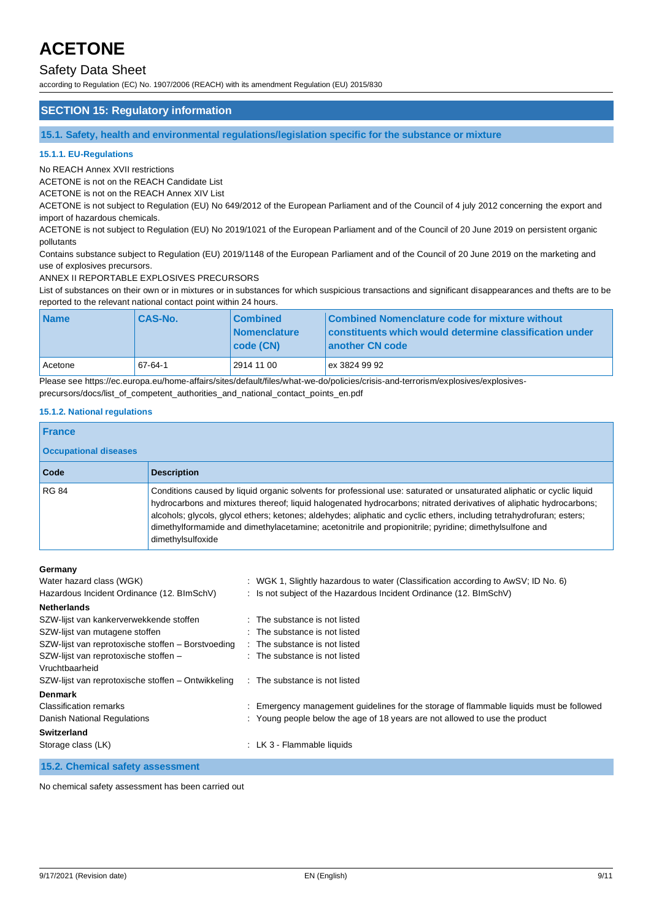### Safety Data Sheet

according to Regulation (EC) No. 1907/2006 (REACH) with its amendment Regulation (EU) 2015/830

#### **SECTION 15: Regulatory information**

**15.1. Safety, health and environmental regulations/legislation specific for the substance or mixture**

#### **15.1.1. EU-Regulations**

No REACH Annex XVII restrictions

ACETONE is not on the REACH Candidate List

ACETONE is not on the REACH Annex XIV List

ACETONE is not subject to Regulation (EU) No 649/2012 of the European Parliament and of the Council of 4 july 2012 concerning the export and import of hazardous chemicals.

ACETONE is not subject to Regulation (EU) No 2019/1021 of the European Parliament and of the Council of 20 June 2019 on persistent organic pollutants

Contains substance subject to Regulation (EU) 2019/1148 of the European Parliament and of the Council of 20 June 2019 on the marketing and use of explosives precursors.

ANNEX II REPORTABLE EXPLOSIVES PRECURSORS

List of substances on their own or in mixtures or in substances for which suspicious transactions and significant disappearances and thefts are to be reported to the relevant national contact point within 24 hours.

| <b>Name</b> | <b>CAS-No.</b> | <b>Combined</b><br><b>Nomenclature</b><br> code(CN) | Combined Nomenclature code for mixture without<br>constituents which would determine classification under<br>another CN code |
|-------------|----------------|-----------------------------------------------------|------------------------------------------------------------------------------------------------------------------------------|
| Acetone     | 67-64-1        | 2914 11 00                                          | ex 3824 99 92                                                                                                                |

Please see https://ec.europa.eu/home-affairs/sites/default/files/what-we-do/policies/crisis-and-terrorism/explosives/explosivesprecursors/docs/list\_of\_competent\_authorities\_and\_national\_contact\_points\_en.pdf

#### **15.1.2. National regulations**

| <b>France</b>                |                                                                                                                                                                                                                                                                                                                                                                                                                                                                                                       |
|------------------------------|-------------------------------------------------------------------------------------------------------------------------------------------------------------------------------------------------------------------------------------------------------------------------------------------------------------------------------------------------------------------------------------------------------------------------------------------------------------------------------------------------------|
| <b>Occupational diseases</b> |                                                                                                                                                                                                                                                                                                                                                                                                                                                                                                       |
| Code                         | <b>Description</b>                                                                                                                                                                                                                                                                                                                                                                                                                                                                                    |
| <b>RG 84</b>                 | Conditions caused by liquid organic solvents for professional use: saturated or unsaturated aliphatic or cyclic liquid<br>hydrocarbons and mixtures thereof; liquid halogenated hydrocarbons; nitrated derivatives of aliphatic hydrocarbons;<br>alcohols; glycols, glycol ethers; ketones; aldehydes; aliphatic and cyclic ethers, including tetrahydrofuran; esters;<br>dimethylformamide and dimethylacetamine; acetonitrile and propionitrile; pyridine; dimethylsulfone and<br>dimethylsulfoxide |

#### **Germany**

| <b></b>                                            |                                                                                         |
|----------------------------------------------------|-----------------------------------------------------------------------------------------|
| Water hazard class (WGK)                           | : WGK 1, Slightly hazardous to water (Classification according to AwSV; ID No. 6)       |
| Hazardous Incident Ordinance (12. BImSchV)         | : Is not subject of the Hazardous Incident Ordinance $(12. \text{BlmSchV})$             |
| <b>Netherlands</b>                                 |                                                                                         |
| SZW-lijst van kankerverwekkende stoffen            | : The substance is not listed                                                           |
| SZW-lijst van mutagene stoffen                     | : The substance is not listed                                                           |
| SZW-lijst van reprotoxische stoffen - Borstvoeding | : The substance is not listed                                                           |
| SZW-lijst van reprotoxische stoffen -              | : The substance is not listed                                                           |
| Vruchtbaarheid                                     |                                                                                         |
| SZW-lijst van reprotoxische stoffen – Ontwikkeling | : The substance is not listed                                                           |
| <b>Denmark</b>                                     |                                                                                         |
| <b>Classification remarks</b>                      | : Emergency management guidelines for the storage of flammable liquids must be followed |
| Danish National Regulations                        | : Young people below the age of 18 years are not allowed to use the product             |
| <b>Switzerland</b>                                 |                                                                                         |
| Storage class (LK)                                 | : LK 3 - Flammable liquids                                                              |
| 15.2. Chemical safety assessment                   |                                                                                         |

No chemical safety assessment has been carried out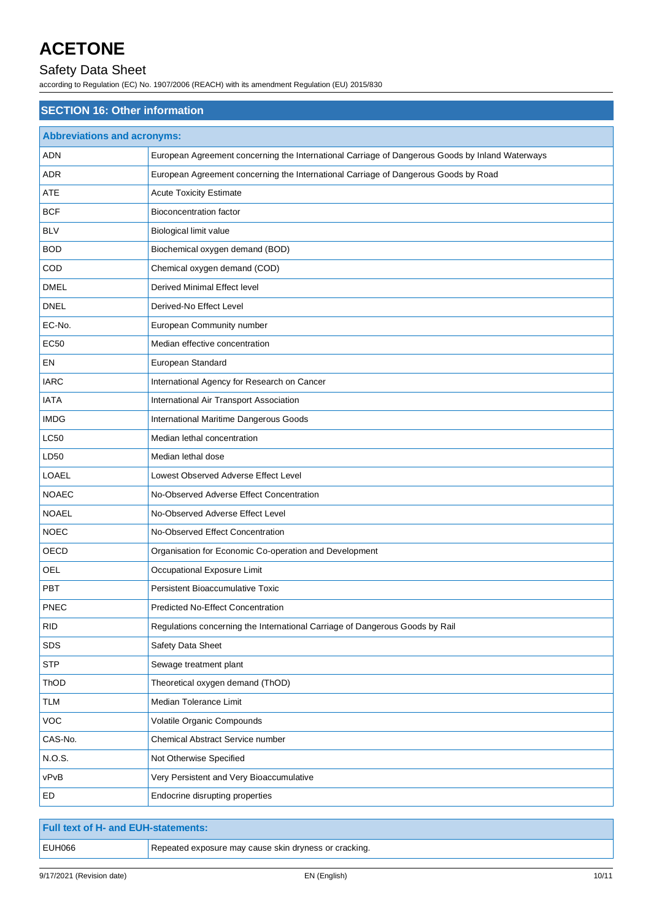# Safety Data Sheet

according to Regulation (EC) No. 1907/2006 (REACH) with its amendment Regulation (EU) 2015/830

| <b>SECTION 16: Other information</b> |                                                                                                 |  |
|--------------------------------------|-------------------------------------------------------------------------------------------------|--|
| <b>Abbreviations and acronyms:</b>   |                                                                                                 |  |
| <b>ADN</b>                           | European Agreement concerning the International Carriage of Dangerous Goods by Inland Waterways |  |
| <b>ADR</b>                           | European Agreement concerning the International Carriage of Dangerous Goods by Road             |  |
| ATE                                  | <b>Acute Toxicity Estimate</b>                                                                  |  |
| <b>BCF</b>                           | <b>Bioconcentration factor</b>                                                                  |  |
| <b>BLV</b>                           | Biological limit value                                                                          |  |
| <b>BOD</b>                           | Biochemical oxygen demand (BOD)                                                                 |  |
| COD                                  | Chemical oxygen demand (COD)                                                                    |  |
| <b>DMEL</b>                          | Derived Minimal Effect level                                                                    |  |
| <b>DNEL</b>                          | Derived-No Effect Level                                                                         |  |
| EC-No.                               | European Community number                                                                       |  |
| <b>EC50</b>                          | Median effective concentration                                                                  |  |
| EN                                   | European Standard                                                                               |  |
| <b>IARC</b>                          | International Agency for Research on Cancer                                                     |  |
| <b>IATA</b>                          | International Air Transport Association                                                         |  |
| <b>IMDG</b>                          | International Maritime Dangerous Goods                                                          |  |
| LC50                                 | Median lethal concentration                                                                     |  |
| LD50                                 | Median lethal dose                                                                              |  |
| <b>LOAEL</b>                         | Lowest Observed Adverse Effect Level                                                            |  |
| <b>NOAEC</b>                         | No-Observed Adverse Effect Concentration                                                        |  |
| <b>NOAEL</b>                         | No-Observed Adverse Effect Level                                                                |  |
| <b>NOEC</b>                          | No-Observed Effect Concentration                                                                |  |
| OECD                                 | Organisation for Economic Co-operation and Development                                          |  |
| OEL                                  | Occupational Exposure Limit                                                                     |  |
| <b>PBT</b>                           | Persistent Bioaccumulative Toxic                                                                |  |
| <b>PNEC</b>                          | Predicted No-Effect Concentration                                                               |  |
| <b>RID</b>                           | Regulations concerning the International Carriage of Dangerous Goods by Rail                    |  |
| SDS                                  | Safety Data Sheet                                                                               |  |
| <b>STP</b>                           | Sewage treatment plant                                                                          |  |
| ThOD                                 | Theoretical oxygen demand (ThOD)                                                                |  |
| TLM                                  | Median Tolerance Limit                                                                          |  |
| VOC                                  | Volatile Organic Compounds                                                                      |  |
| CAS-No.                              | Chemical Abstract Service number                                                                |  |
| N.O.S.                               | Not Otherwise Specified                                                                         |  |
| vPvB                                 | Very Persistent and Very Bioaccumulative                                                        |  |
| ED                                   | Endocrine disrupting properties                                                                 |  |

| <b>Full text of H- and EUH-statements:</b> |                                                       |
|--------------------------------------------|-------------------------------------------------------|
| EUH066                                     | Repeated exposure may cause skin dryness or cracking. |